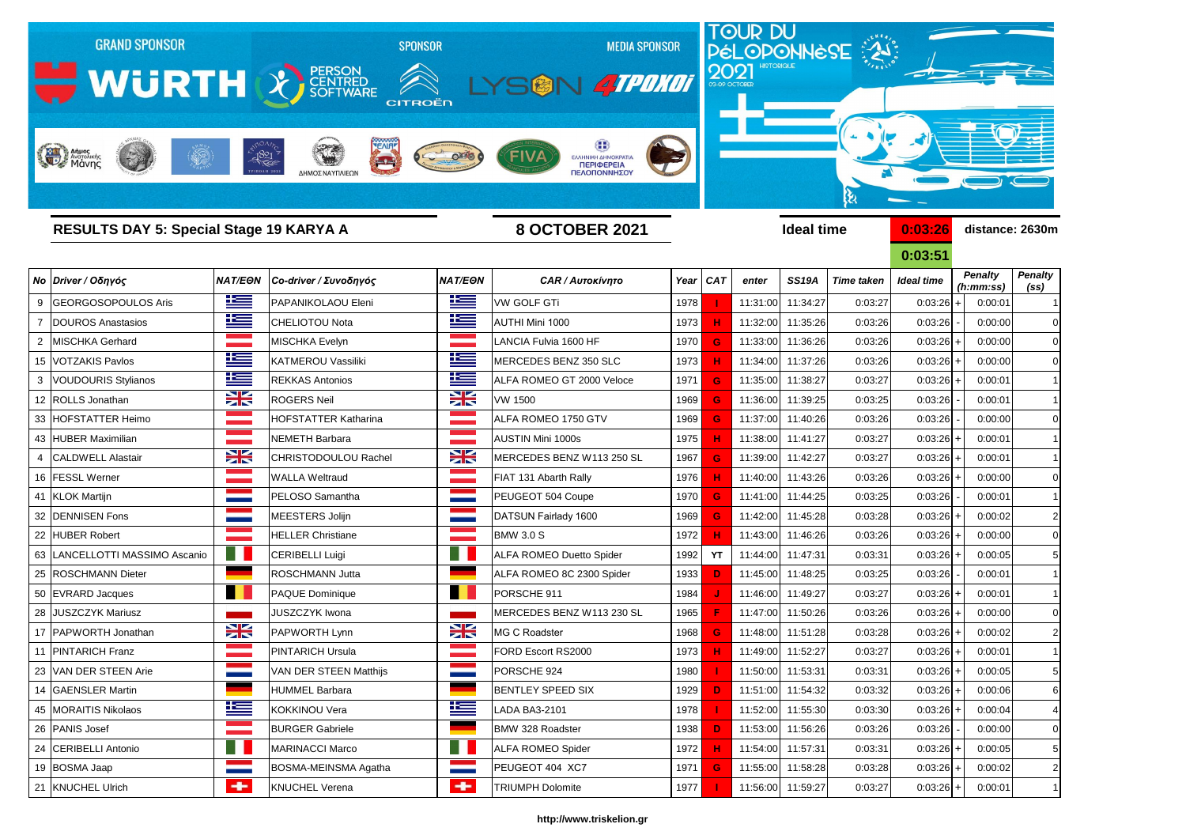

|                | RESULTS DAY 5: Special Stage 19 KARYA A |                |                             |                | <b>8 UUI UBER ZUZT</b>          |      |           |          | <b>ideal time</b> |                   | <u>U:U3:Z6</u>    |                             | distance: 2630m                     |  |
|----------------|-----------------------------------------|----------------|-----------------------------|----------------|---------------------------------|------|-----------|----------|-------------------|-------------------|-------------------|-----------------------------|-------------------------------------|--|
|                |                                         |                |                             |                |                                 |      |           |          |                   |                   | 0:03:51           |                             |                                     |  |
|                | Νο Driver / Οδηγός                      | <b>NAT/EON</b> | Co-driver / Συνοδηγός       | <b>NAT/EON</b> | <b>CAR / Αυτοκίνητο</b>         |      | Year CAT  | enter    | <b>SS19A</b>      | <b>Time taken</b> | <b>Ideal time</b> | <b>Penalty</b><br>(h:mm:ss) | <b>Penalty</b><br>(s <sub>s</sub> ) |  |
| 9              | <b>GEORGOSOPOULOS Aris</b>              | <u>is a</u>    | PAPANIKOLAOU Eleni          | 些              | <b>VW GOLF GTi</b>              | 1978 |           | 11:31:00 | 11:34:27          | 0:03:27           | 0:03:26           | 0:00:01                     | $\mathbf 1$                         |  |
|                | DOUROS Anastasios                       | <u>iks </u>    | <b>CHELIOTOU Nota</b>       | ٢m             | AUTHI Mini 1000                 | 1973 |           | 11:32:00 | 11:35:26          | 0:03:26           | 0:03:26           | 0:00:00                     | $\Omega$                            |  |
| $\overline{2}$ | <b>MISCHKA Gerhard</b>                  |                | <b>MISCHKA Evelyn</b>       | a sa Tan       | LANCIA Fulvia 1600 HF           | 1970 | G         | 11:33:00 | 11:36:26          | 0:03:26           | 0:03:26           | 0:00:00                     | $\mathbf 0$                         |  |
|                | 15   VOTZAKIS Pavlos                    | 些              | KATMEROU Vassiliki          | <u> اکتا</u>   | MERCEDES BENZ 350 SLC           | 1973 |           | 11:34:00 | 11:37:26          | 0:03:26           | 0:03:26           | 0:00:00                     | 0                                   |  |
|                | 3   VOUDOURIS Stylianos                 | <u>ik se</u>   | <b>REKKAS Antonios</b>      | ١æ             | ALFA ROMEO GT 2000 Veloce       | 1971 | G.        | 11:35:00 | 11:38:27          | 0:03:27           | 0:03:26           | 0:00:01                     | $\mathbf 1$                         |  |
|                | 12   ROLLS Jonathan                     | X              | <b>ROGERS Neil</b>          | X              | <b>VW 1500</b>                  | 1969 | G         | 11:36:00 | 11:39:25          | 0:03:25           | 0:03:26           | 0:00:01                     | $\mathbf 1$                         |  |
|                | 33 HOFSTATTER Heimo                     |                | <b>HOFSTATTER Katharina</b> |                | ALFA ROMEO 1750 GTV             | 1969 | G.        | 11:37:00 | 11:40:26          | 0:03:26           | 0:03:26           | 0:00:00                     | $\mathbf 0$                         |  |
|                | 43 HUBER Maximilian                     |                | NEMETH Barbara              |                | <b>AUSTIN Mini 1000s</b>        | 1975 |           | 11:38:00 | 11:41:27          | 0:03:27           | 0:03:26           | 0:00:01                     | $\mathbf 1$                         |  |
| 4              | <b>CALDWELL Alastair</b>                | X              | <b>CHRISTODOULOU Rachel</b> | X              | MERCEDES BENZ W113 250 SL       | 1967 | G.        | 11:39:00 | 11:42:27          | 0:03:27           | 0:03:26           | 0:00:01                     | $\mathbf 1$                         |  |
|                | 16 FESSL Werner                         |                | <b>WALLA Weltraud</b>       | an an S        | FIAT 131 Abarth Rally           | 1976 |           | 11:40:00 | 11:43:26          | 0:03:26           | 0:03:26           | 0:00:00                     | $\Omega$                            |  |
|                | 41 KLOK Martijn                         |                | PELOSO Samantha             |                | PEUGEOT 504 Coupe               | 1970 | G.        | 11:41:00 | 11:44:25          | 0:03:25           | 0:03:26           | 0:00:01                     | $\mathbf{1}$                        |  |
|                | 32 DENNISEN Fons                        |                | MEESTERS Jolijn             |                | DATSUN Fairlady 1600            | 1969 | G         | 11:42:00 | 11:45:28          | 0:03:28           | 0:03:26           | 0:00:02                     | 2                                   |  |
|                | 22 HUBER Robert                         |                | <b>HELLER Christiane</b>    |                | <b>BMW 3.0 S</b>                | 1972 |           | 11:43:00 | 11:46:26          | 0:03:26           | 0:03:26           | 0:00:00                     | $\mathbf 0$                         |  |
|                | 63   LANCELLOTTI MASSIMO Ascanio        |                | <b>CERIBELLI Luigi</b>      | ш              | <b>ALFA ROMEO Duetto Spider</b> | 1992 | <b>YT</b> | 11:44:00 | 11:47:31          | 0:03:31           | 0:03:26           | 0:00:05                     | 5                                   |  |
|                | 25 ROSCHMANN Dieter                     |                | ROSCHMANN Jutta             |                | ALFA ROMEO 8C 2300 Spider       | 1933 | D         | 11:45:00 | 11:48:25          | 0:03:25           | 0:03:26           | 0:00:01                     | $\mathbf 1$                         |  |
|                | 50 EVRARD Jacques                       | n e s          | <b>PAQUE Dominique</b>      | . .            | PORSCHE 911                     | 1984 |           | 11:46:00 | 11:49:27          | 0:03:27           | 0:03:26           | 0:00:01                     | $\mathbf 1$                         |  |
|                | 28 JUSZCZYK Mariusz                     |                | <b>JUSZCZYK Iwona</b>       |                | MERCEDES BENZ W113 230 SL       | 1965 |           | 11:47:00 | 11:50:26          | 0:03:26           | 0:03:26           | 0:00:00                     | 0                                   |  |
|                | 17 PAPWORTH Jonathan                    | X              | PAPWORTH Lynn               | X              | MG C Roadster                   | 1968 | G         | 11:48:00 | 11:51:28          | 0:03:28           | 0:03:26           | 0:00:02                     | $\overline{2}$                      |  |
|                | 11 PINTARICH Franz                      |                | <b>PINTARICH Ursula</b>     |                | FORD Escort RS2000              | 1973 |           | 11:49:00 | 11:52:27          | 0:03:27           | 0:03:26           | 0:00:01                     | $\mathbf 1$                         |  |
|                | 23 VAN DER STEEN Arie                   |                | VAN DER STEEN Matthijs      |                | PORSCHE 924                     | 1980 |           | 11:50:00 | 11:53:31          | 0:03:31           | $0:03:26$ +       | 0:00:05                     |                                     |  |
|                | 14 GAENSLER Martin                      |                | <b>HUMMEL Barbara</b>       |                | <b>BENTLEY SPEED SIX</b>        | 1929 | D.        | 11:51:00 | 11:54:32          | 0:03:32           | 0:03:26           | 0:00:06                     | 6                                   |  |
|                | 45 MORAITIS Nikolaos                    | <u>is </u>     | <b>KOKKINOU Vera</b>        | 些              | <b>LADA BA3-2101</b>            | 1978 |           | 11:52:00 | 11:55:30          | 0:03:30           | 0:03:26           | 0:00:04                     | 4                                   |  |
|                | 26 PANIS Josef                          |                | <b>BURGER Gabriele</b>      |                | BMW 328 Roadster                | 1938 | D         | 11:53:00 | 11:56:26          | 0:03:26           | 0:03:26           | 0:00:00                     | 0                                   |  |
|                | 24 CERIBELLI Antonio                    |                | <b>MARINACCI Marco</b>      | Ħ              | <b>ALFA ROMEO Spider</b>        | 1972 | H         | 11:54:00 | 11:57:31          | 0:03:31           | 0:03:26           | 0:00:05                     | 5                                   |  |
|                | 19 BOSMA Jaap                           |                | BOSMA-MEINSMA Agatha        |                | PEUGEOT 404 XC7                 | 1971 | G         | 11:55:00 | 11:58:28          | 0:03:28           | 0:03:26           | 0:00:02                     | $\overline{2}$                      |  |
|                | 21 KNUCHEL Ulrich                       | $\leftarrow$   | <b>KNUCHEL Verena</b>       | $\leftarrow$   | <b>TRIUMPH Dolomite</b>         | 1977 |           | 11:56:00 | 11:59:27          | 0:03:27           | $0:03:26$ +       | 0:00:01                     | $\overline{1}$                      |  |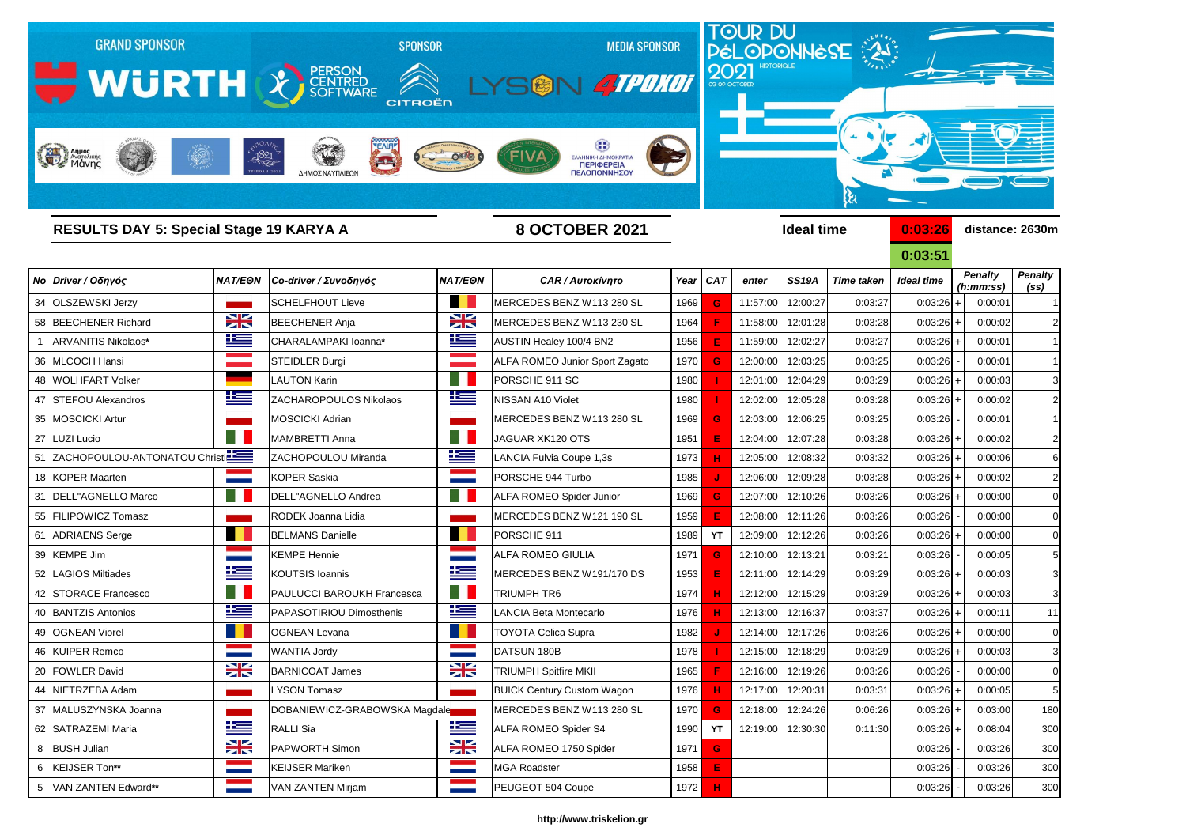

| RESULTS DAT 5: SPECIAL Stage 19 NARTA A |                   |                               |                      | O UUIUDER ZUZI                        |      |           |          | <b>Tagal time</b> |                   | <u>U.UJ.ZO</u>    | qistance: zosum             |                                     |
|-----------------------------------------|-------------------|-------------------------------|----------------------|---------------------------------------|------|-----------|----------|-------------------|-------------------|-------------------|-----------------------------|-------------------------------------|
|                                         |                   |                               |                      |                                       |      |           |          |                   |                   | 0:03:51           |                             |                                     |
| Νο Driver / Οδηγός                      | <b>NAT/EON</b>    | Co-driver / Συνοδηγός         | <b>NAT/EON</b>       | <b>CAR / Αυτοκίνητο</b>               |      | Year CAT  | enter    | <b>SS19A</b>      | <b>Time taken</b> | <b>Ideal time</b> | <b>Penalty</b><br>(h:mm:ss) | <b>Penalty</b><br>(s <sub>s</sub> ) |
| 34 OLSZEWSKI Jerzy                      |                   | <b>SCHELFHOUT Lieve</b>       | a.                   | MERCEDES BENZ W113 280 SL             | 1969 | G         | 11:57:00 | 12:00:27          | 0:03:27           | 0:03:26           | 0:00:01                     |                                     |
| 58 BEECHENER Richard                    | $\geq$            | <b>BEECHENER Anja</b>         | XK                   | MERCEDES BENZ W113 230 SL             | 1964 |           | 11:58:00 | 12:01:28          | 0:03:28           | $0:03:26$ +       | 0:00:02                     | $\overline{2}$                      |
| <b>ARVANITIS Nikolaos*</b>              | 些                 | CHARALAMPAKI Ioanna*          | ٢                    | AUSTIN Healey 100/4 BN2               | 1956 |           | 11:59:00 | 12:02:27          | 0:03:27           | 0:03:26           | 0:00:01                     |                                     |
| 36 MLCOCH Hansi                         |                   | STEIDLER Burgi                |                      | <b>ALFA ROMEO Junior Sport Zagato</b> | 1970 | G         | 12:00:00 | 12:03:25          | 0:03:25           | 0:03:26           | 0:00:01                     |                                     |
| 48 WOLHFART Volker                      |                   | <b>LAUTON Karin</b>           |                      | PORSCHE 911 SC                        | 1980 |           | 12:01:00 | 12:04:29          | 0:03:29           | 0:03:26           | 0:00:03                     | 3                                   |
| 47 STEFOU Alexandros                    | 生生                | ZACHAROPOULOS Nikolaos        | 些                    | <b>NISSAN A10 Violet</b>              | 1980 |           | 12:02:00 | 12:05:28          | 0:03:28           | 0:03:26           | 0:00:02                     | $\overline{2}$                      |
| 35 MOSCICKI Artur                       |                   | <b>MOSCICKI Adrian</b>        |                      | MERCEDES BENZ W113 280 SL             | 1969 | G         | 12:03:00 | 12:06:25          | 0:03:25           | 0:03:26           | 0:00:01                     |                                     |
| 27 LUZI Lucio                           |                   | <b>MAMBRETTI Anna</b>         |                      | JAGUAR XK120 OTS                      | 1951 | Е         | 12:04:00 | 12:07:28          | 0:03:28           | $0:03:26$ +       | 0:00:02                     | $\overline{2}$                      |
| 51 ZACHOPOULOU-ANTONATOU Christi        |                   | ZACHOPOULOU Miranda           | <u>ik =</u>          | LANCIA Fulvia Coupe 1,3s              | 1973 |           | 12:05:00 | 12:08:32          | 0:03:32           | $0:03:26$ +       | 0:00:06                     | 6                                   |
| 18 KOPER Maarten                        |                   | <b>KOPER Saskia</b>           |                      | PORSCHE 944 Turbo                     | 1985 |           | 12:06:00 | 12:09:28          | 0:03:28           | 0:03:26           | 0:00:02                     | $\overline{2}$                      |
| 31   DELL"AGNELLO Marco                 |                   | <b>DELL"AGNELLO Andrea</b>    |                      | <b>ALFA ROMEO Spider Junior</b>       | 1969 | G         | 12:07:00 | 12:10:26          | 0:03:26           | 0:03:26           | 0:00:00                     |                                     |
| 55 FILIPOWICZ Tomasz                    |                   | RODEK Joanna Lidia            |                      | MERCEDES BENZ W121 190 SL             | 1959 |           | 12:08:00 | 12:11:26          | 0:03:26           | 0:03:26           | 0:00:00                     |                                     |
| 61 ADRIAENS Serge                       |                   | <b>BELMANS Danielle</b>       |                      | PORSCHE 911                           | 1989 | <b>YT</b> | 12:09:00 | 12:12:26          | 0:03:26           | 0:03:26           | 0:00:00                     |                                     |
| 39 KEMPE Jim                            |                   | <b>KEMPE Hennie</b>           |                      | <b>ALFA ROMEO GIULIA</b>              | 1971 | G         | 12:10:00 | 12:13:21          | 0:03:21           | 0:03:26           | 0:00:05                     | 5                                   |
| 52   LAGIOS Miltiades                   | <u>te</u>         | <b>KOUTSIS Ioannis</b>        | 上三                   | MERCEDES BENZ W191/170 DS             | 1953 |           | 12:11:00 | 12:14:29          | 0:03:29           | 0:03:26           | 0:00:03                     | 3                                   |
| 42 STORACE Francesco                    |                   | PAULUCCI BAROUKH Francesca    |                      | TRIUMPH TR6                           | 1974 |           | 12:12:00 | 12:15:29          | 0:03:29           | $0:03:26$ +       | 0:00:03                     | 3                                   |
| 40 BANTZIS Antonios                     | <u>is s</u>       | PAPASOTIRIOU Dimosthenis      | 些                    | LANCIA Beta Montecarlo                | 1976 |           | 12:13:00 | 12:16:37          | 0:03:37           | $0:03:26$ +       | 0:00:11                     | 11                                  |
| 49 OGNEAN Viorel                        |                   | <b>OGNEAN Levana</b>          |                      | <b>TOYOTA Celica Supra</b>            | 1982 |           | 12:14:00 | 12:17:26          | 0:03:26           | 0:03:26           | 0:00:00                     | $\mathbf 0$                         |
| 46 KUIPER Remco                         |                   | <b>WANTIA Jordy</b>           |                      | DATSUN 180B                           | 1978 |           | 12:15:00 | 12:18:29          | 0:03:29           | 0:03:26           | 0:00:03                     | 3                                   |
| 20 FOWLER David                         | NZ<br>$7^{\circ}$ | <b>BARNICOAT James</b>        | VZ<br>$\blacksquare$ | <b>TRIUMPH Spitfire MKII</b>          | 1965 |           |          | 12:16:00 12:19:26 | 0:03:26           | 0:03:26           | 0:00:00                     |                                     |
| 44 NIETRZEBA Adam                       |                   | LYSON Tomasz                  |                      | <b>BUICK Century Custom Wagon</b>     | 1976 |           | 12:17:00 | 12:20:31          | 0:03:31           | 0:03:26           | 0:00:05                     | 5                                   |
| 37 MALUSZYNSKA Joanna                   |                   | DOBANIEWICZ-GRABOWSKA Magdale |                      | MERCEDES BENZ W113 280 SL             | 1970 | G         | 12:18:00 | 12:24:26          | 0:06:26           | 0:03:26           | 0:03:00                     | 180                                 |
| 62 SATRAZEMI Maria                      | <u> Kan</u>       | <b>RALLI</b> Sia              | <u>ika </u>          | ALFA ROMEO Spider S4                  | 1990 | YT        | 12:19:00 | 12:30:30          | 0:11:30           | 0:03:26           | 0:08:04                     | 300                                 |
| 8 BUSH Julian                           | X                 | PAPWORTH Simon                | $\frac{1}{2}$        | ALFA ROMEO 1750 Spider                | 1971 | G         |          |                   |                   | 0:03:26           | 0:03:26                     | 300                                 |
| 6   KEIJSER Ton**                       |                   | <b>KEIJSER Mariken</b>        |                      | <b>MGA Roadster</b>                   | 1958 | Е         |          |                   |                   | 0:03:26           | 0:03:26                     | 300                                 |
| 5 VAN ZANTEN Edward**                   |                   | <b>VAN ZANTEN Mirjam</b>      |                      | PEUGEOT 504 Coupe                     | 1972 | н         |          |                   |                   | 0:03:26           | 0:03:26                     | 300                                 |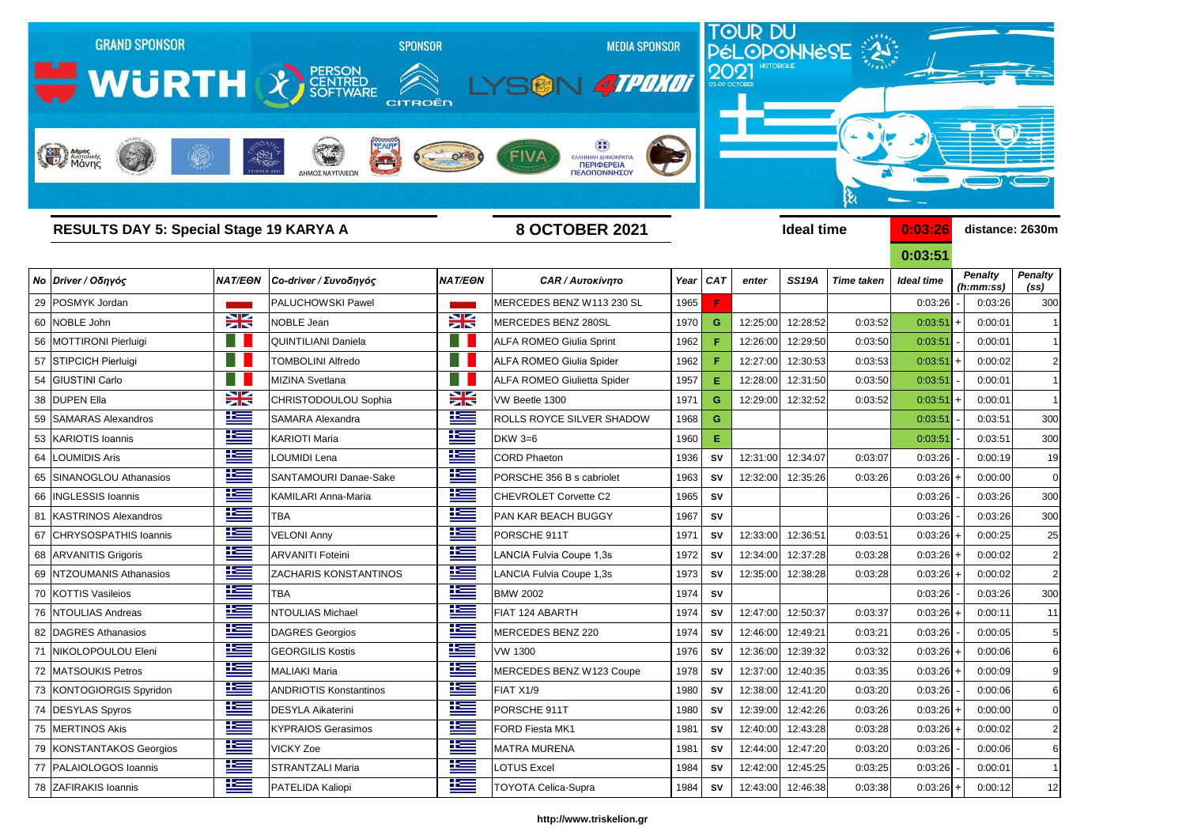

| <b>RESULTS DAY 5: Special Stage 19 KARYA A</b> |                |                               | <b>8 OCTOBER 2021</b> |                                    |      |            |          | <b>Ideal time</b> |                   | 0:03:26           |  | distance: 2630m             |                                     |
|------------------------------------------------|----------------|-------------------------------|-----------------------|------------------------------------|------|------------|----------|-------------------|-------------------|-------------------|--|-----------------------------|-------------------------------------|
|                                                |                |                               |                       |                                    |      |            |          |                   |                   | 0:03:51           |  |                             |                                     |
| Νο Driver / Οδηγός                             | <b>NAT/EON</b> | Co-driver / Συνοδηγός         | <b>NAT/EON</b>        | <b>CAR / Αυτοκίνητο</b>            | Year | <b>CAT</b> | enter    | <b>SS19A</b>      | <b>Time taken</b> | <b>Ideal time</b> |  | <b>Penalty</b><br>(h:mm:ss) | <b>Penalty</b><br>(s <sub>s</sub> ) |
| 29 POSMYK Jordan                               |                | <b>PALUCHOWSKI Pawel</b>      |                       | MERCEDES BENZ W113 230 SL          | 1965 |            |          |                   |                   | 0:03:26           |  | 0:03:26                     | 300                                 |
| 60 NOBLE John                                  | X              | <b>NOBLE Jean</b>             | ₩                     | MERCEDES BENZ 280SL                | 1970 | G.         | 12:25:00 | 12:28:52          | 0:03:52           | 0:03:51           |  | 0:00:01                     |                                     |
| 56   MOTTIRONI Pierluigi                       |                | <b>QUINTILIANI Daniela</b>    | - 8                   | <b>ALFA ROMEO Giulia Sprint</b>    | 1962 |            | 12:26:00 | 12:29:50          | 0:03:50           | 0:03:51           |  | 0:00:01                     |                                     |
| 57 STIPCICH Pierluigi                          |                | <b>TOMBOLINI Alfredo</b>      | - 8                   | <b>ALFA ROMEO Giulia Spider</b>    | 1962 |            | 12:27:00 | 12:30:53          | 0:03:53           | 0:03:51           |  | 0:00:02                     | 2                                   |
| 54 GIUSTINI Carlo                              |                | MIZINA Svetlana               |                       | <b>ALFA ROMEO Giulietta Spider</b> | 1957 | Е.         | 12:28:00 | 12:31:50          | 0:03:50           | 0:03:51           |  | 0:00:01                     |                                     |
| 38 DUPEN Ella                                  | X              | CHRISTODOULOU Sophia          | X                     | VW Beetle 1300                     | 1971 | G.         | 12:29:00 | 12:32:52          | 0:03:52           | 0:03:51           |  | 0:00:01                     |                                     |
| 59 SAMARAS Alexandros                          | <u>iks </u>    | <b>SAMARA Alexandra</b>       | <u>is a</u>           | ROLLS ROYCE SILVER SHADOW          | 1968 | G          |          |                   |                   | 0:03:51           |  | 0:03:51                     | 300                                 |
| 53 KARIOTIS Ioannis                            | <u>ik a</u>    | <b>KARIOTI Maria</b>          | <u> اکتا</u>          | DKW 3=6                            | 1960 | Е.         |          |                   |                   | 0:03:51           |  | 0:03:51                     | 300                                 |
| 64 LOUMIDIS Aris                               | Ł              | LOUMIDI Lena                  | <u>te</u>             | <b>CORD Phaeton</b>                | 1936 | <b>SV</b>  | 12:31:00 | 12:34:07          | 0:03:07           | 0:03:26           |  | 0:00:19                     | 19                                  |
| 65 SINANOGLOU Athanasios                       | <u>ik s</u>    | SANTAMOURI Danae-Sake         | <u>ik –</u>           | PORSCHE 356 B s cabriolet          | 1963 | <b>SV</b>  | 12:32:00 | 12:35:26          | 0:03:26           | 0:03:26           |  | 0:00:00                     | 0                                   |
| 66   INGLESSIS Ioannis                         | <u> اکتا</u>   | <b>KAMILARI Anna-Maria</b>    | 坚                     | CHEVROLET Corvette C2              | 1965 | <b>SV</b>  |          |                   |                   | 0:03:26           |  | 0:03:26                     | 300                                 |
| 81 KASTRINOS Alexandros                        | 些              | <b>TBA</b>                    | 坚                     | PAN KAR BEACH BUGGY                | 1967 | <b>SV</b>  |          |                   |                   | 0:03:26           |  | 0:03:26                     | 300                                 |
| 67 CHRYSOSPATHIS Ioannis                       | <u> اکتا</u>   | <b>VELONI Anny</b>            | ٢Ŧ                    | PORSCHE 911T                       | 1971 | <b>SV</b>  | 12:33:00 | 12:36:51          | 0:03:51           | 0:03:26           |  | 0:00:25                     | 25                                  |
| 68 ARVANITIS Grigoris                          | <u>resp</u>    | <b>ARVANITI Foteini</b>       | <u>ie </u>            | LANCIA Fulvia Coupe 1,3s           | 1972 | <b>SV</b>  | 12:34:00 | 12:37:28          | 0:03:28           | 0:03:26           |  | 0:00:02                     | 2                                   |
| 69 NTZOUMANIS Athanasios                       | <u>iks </u>    | ZACHARIS KONSTANTINOS         | <u>ik –</u>           | LANCIA Fulvia Coupe 1,3s           | 1973 | <b>SV</b>  | 12:35:00 | 12:38:28          | 0:03:28           | 0:03:26           |  | 0:00:02                     | 2                                   |
| 70 KOTTIS Vasileios                            | <u>k </u>      | <b>TBA</b>                    | <u>ik –</u>           | <b>BMW 2002</b>                    | 1974 | <b>SV</b>  |          |                   |                   | 0:03:26           |  | 0:03:26                     | 300                                 |
| 76 NTOULIAS Andreas                            | <u>k </u>      | <b>NTOULIAS Michael</b>       | <u>ik –</u>           | FIAT 124 ABARTH                    | 1974 | <b>SV</b>  | 12:47:00 | 12:50:37          | 0:03:37           | 0:03:26           |  | 0:00:11                     | 11                                  |
| 82   DAGRES Athanasios                         | 些              | <b>DAGRES Georgios</b>        | 些                     | <b>MERCEDES BENZ 220</b>           | 1974 | <b>SV</b>  | 12:46:00 | 12:49:21          | 0:03:21           | 0:03:26           |  | 0:00:05                     | 5                                   |
| 71 NIKOLOPOULOU Eleni                          | <u>is </u>     | <b>GEORGILIS Kostis</b>       | <u>is </u>            | <b>VW 1300</b>                     | 1976 | <b>SV</b>  | 12:36:00 | 12:39:32          | 0:03:32           | 0:03:26           |  | 0:00:06                     |                                     |
| 72 MATSOUKIS Petros                            | <u> اکتا</u>   | MALIAKI Maria                 | ł                     | MERCEDES BENZ W123 Coupe           | 1978 | <b>SV</b>  |          | 12:37:00 12:40:35 | 0:03:35           | $0:03:26$ +       |  | 0:00:09                     |                                     |
| 73 KONTOGIORGIS Spyridon                       | <u>is </u>     | <b>ANDRIOTIS Konstantinos</b> | <u>is </u>            | FIAT X1/9                          | 1980 | <b>SV</b>  | 12:38:00 | 12:41:20          | 0:03:20           | 0:03:26           |  | 0:00:06                     | 6                                   |
| 74 DESYLAS Spyros                              | <u>resp</u>    | <b>DESYLA Aikaterini</b>      | <u> اکتا</u>          | PORSCHE 911T                       | 1980 | <b>SV</b>  | 12:39:00 | 12:42:26          | 0:03:26           | 0:03:26           |  | 0:00:00                     | 0                                   |
| 75 MERTINOS Akis                               | <u> Kan</u>    | <b>KYPRAIOS Gerasimos</b>     | 些                     | FORD Fiesta MK1                    | 1981 | <b>SV</b>  | 12:40:00 | 12:43:28          | 0:03:28           | 0:03:26           |  | 0:00:02                     | $\overline{2}$                      |
| 79 KONSTANTAKOS Georgios                       | 些              | <b>VICKY Zoe</b>              | <u> اکتا</u>          | <b>MATRA MURENA</b>                | 1981 | <b>SV</b>  | 12:44:00 | 12:47:20          | 0:03:20           | 0:03:26           |  | 0:00:06                     | 6                                   |
| 77   PALAIOLOGOS Ioannis                       | <u> Kan</u>    | <b>STRANTZALI Maria</b>       | <u>is a</u>           | <b>LOTUS Excel</b>                 | 1984 | <b>SV</b>  | 12:42:00 | 12:45:25          | 0:03:25           | 0:03:26           |  | 0:00:01                     | 1                                   |
| 78 ZAFIRAKIS Ioannis                           | 华兰             | PATELIDA Kaliopi              | 些                     | <b>TOYOTA Celica-Supra</b>         | 1984 | SV         | 12:43:00 | 12:46:38          | 0:03:38           | $0:03:26$ +       |  | 0:00:12                     | 12                                  |